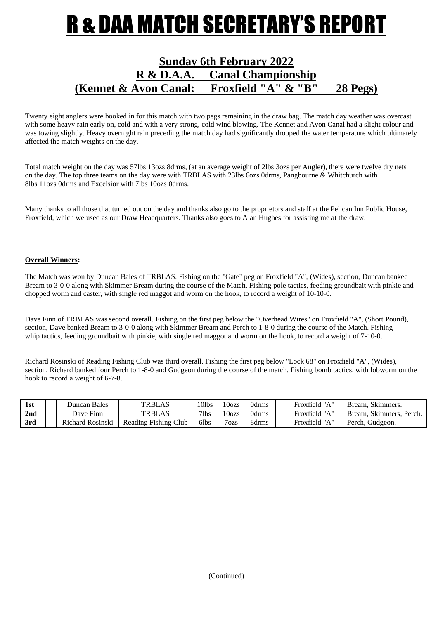## R & DAA MATCH SECRETARY'S REPORT

### **Sunday 6th February 2022 R & D.A.A. Canal Championship (Kennet & Avon Canal: Froxfield "A" & "B" 28 Pegs)**

Twenty eight anglers were booked in for this match with two pegs remaining in the draw bag. The match day weather was overcast with some heavy rain early on, cold and with a very strong, cold wind blowing. The Kennet and Avon Canal had a slight colour and was towing slightly. Heavy overnight rain preceding the match day had significantly dropped the water temperature which ultimately affected the match weights on the day.

Total match weight on the day was 57lbs 13ozs 8drms, (at an average weight of 2lbs 3ozs per Angler), there were twelve dry nets on the day. The top three teams on the day were with TRBLAS with 23lbs 6ozs 0drms, Pangbourne & Whitchurch with 8lbs 11ozs 0drms and Excelsior with 7lbs 10ozs 0drms.

Many thanks to all those that turned out on the day and thanks also go to the proprietors and staff at the Pelican Inn Public House, Froxfield, which we used as our Draw Headquarters. Thanks also goes to Alan Hughes for assisting me at the draw.

#### **Overall Winners:**

The Match was won by Duncan Bales of TRBLAS. Fishing on the "Gate" peg on Froxfield "A", (Wides), section, Duncan banked Bream to 3-0-0 along with Skimmer Bream during the course of the Match. Fishing pole tactics, feeding groundbait with pinkie and chopped worm and caster, with single red maggot and worm on the hook, to record a weight of 10-10-0.

Dave Finn of TRBLAS was second overall. Fishing on the first peg below the "Overhead Wires" on Froxfield "A", (Short Pound), section, Dave banked Bream to 3-0-0 along with Skimmer Bream and Perch to 1-8-0 during the course of the Match. Fishing whip tactics, feeding groundbait with pinkie, with single red maggot and worm on the hook, to record a weight of 7-10-0.

Richard Rosinski of Reading Fishing Club was third overall. Fishing the first peg below "Lock 68" on Froxfield "A", (Wides), section, Richard banked four Perch to 1-8-0 and Gudgeon during the course of the match. Fishing bomb tactics, with lobworm on the hook to record a weight of 6-7-8.

| 1st             | Duncan Bales     | <b>TRBLAS</b>        | 101bs       | 100zs     | <b>Jdrms</b> | - Froxfield "A" | Bream, Skimmers.        |
|-----------------|------------------|----------------------|-------------|-----------|--------------|-----------------|-------------------------|
| 2 <sub>nd</sub> | Dave Finn        | <b>TRBLAS</b>        | $7$ lbs     | 100zs     | 0drms        | Froxfield "A"   | Bream, Skimmers, Perch. |
| 3rd             | Richard Rosinski | Reading Fishing Club | <b>Slbs</b> | $7_{OZS}$ | 8drms        | Froxfield "A"   | Perch, Gudgeon.         |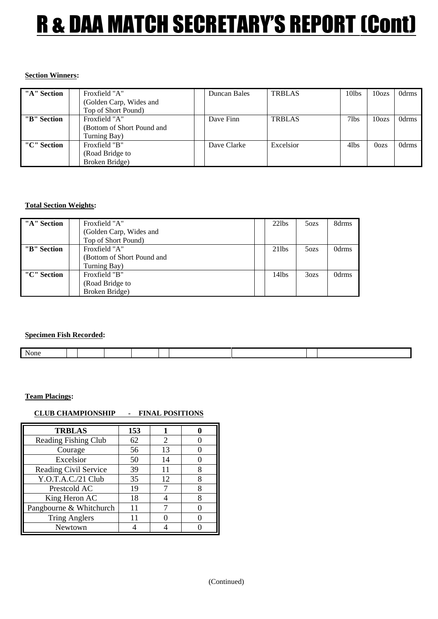# R & DAA MATCH SECRETARY'S REPORT (Cont)

#### **Section Winners:**

| "A" Section | Froxfield "A"              | Duncan Bales | <b>TRBLAS</b> | 10lbs   | 10 <sub>ozs</sub> | 0drms |
|-------------|----------------------------|--------------|---------------|---------|-------------------|-------|
|             | (Golden Carp, Wides and    |              |               |         |                   |       |
|             | Top of Short Pound)        |              |               |         |                   |       |
| "B" Section | Froxfield "A"              | Dave Finn    | <b>TRBLAS</b> | $7$ lbs | 10 <sub>ozs</sub> | 0drms |
|             | (Bottom of Short Pound and |              |               |         |                   |       |
|             | Turning Bay)               |              |               |         |                   |       |
| "C" Section | Froxfield "B"              | Dave Clarke  | Excelsior     | 4lbs    | 0 <sub>o</sub>    | 0drms |
|             | (Road Bridge to            |              |               |         |                   |       |
|             | Broken Bridge)             |              |               |         |                   |       |

#### **Total Section Weights:**

| "A" Section | Froxfield "A"              | $22$ lbs | 50zs             | 8drms |
|-------------|----------------------------|----------|------------------|-------|
|             | (Golden Carp, Wides and    |          |                  |       |
|             | Top of Short Pound)        |          |                  |       |
| "B" Section | Froxfield "A"              | $21$ lbs | 50zs             | 0drms |
|             | (Bottom of Short Pound and |          |                  |       |
|             | Turning Bay)               |          |                  |       |
| "C" Section | Froxfield "B"              | 14lbs    | 3 <sub>ozs</sub> | 0drms |
|             | (Road Bridge to            |          |                  |       |
|             | Broken Bridge)             |          |                  |       |

#### **Specimen Fish Recorded:**

| None |  |  |  |  |
|------|--|--|--|--|

#### **Team Placings:**

#### **CLUB CHAMPIONSHIP - FINAL POSITIONS**

| <b>TRBLAS</b>           | 153 |                             |  |
|-------------------------|-----|-----------------------------|--|
| Reading Fishing Club    | 62  | $\mathcal{D}_{\mathcal{L}}$ |  |
| Courage                 | 56  | 13                          |  |
| Excelsior               | 50  | 14                          |  |
| Reading Civil Service   | 39  | 11                          |  |
| Y.O.T.A.C./21 Club      | 35  | 12                          |  |
| Prestcold AC            | 19  |                             |  |
| King Heron AC           | 18  |                             |  |
| Pangbourne & Whitchurch | 11  |                             |  |
| <b>Tring Anglers</b>    |     |                             |  |
| Newtown                 |     |                             |  |